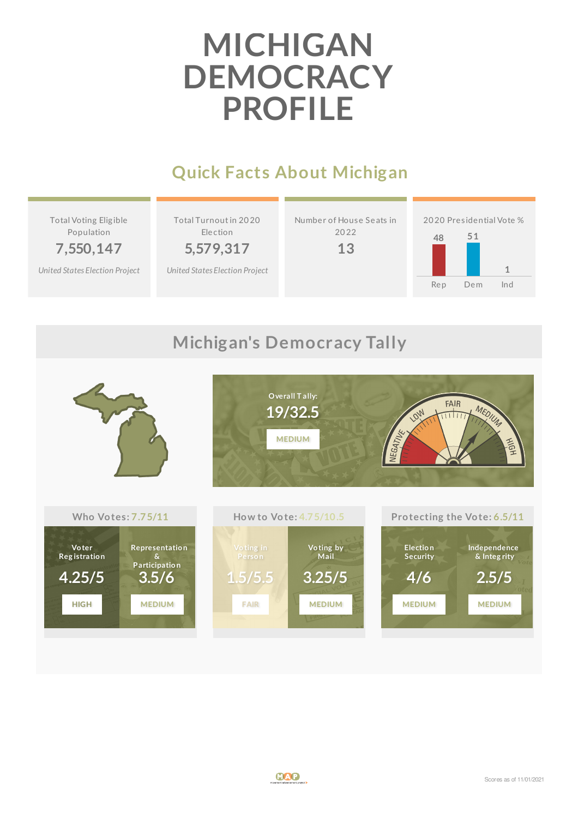# **MICHIGAN DEMOCRACY PROFILE**

#### **Quick Facts About Michigan**

Total Voting Elig ible Population

**7,550,147**

*United States [Election](http://www.electproject.org/2020g) Project*

Total Turnoutin 20 20 Election

**5,579,317**

*United States [Election](http://www.electproject.org/2020g) Project*

Number of House Seats in 20 22





#### **Michigan's Democracy Tally**

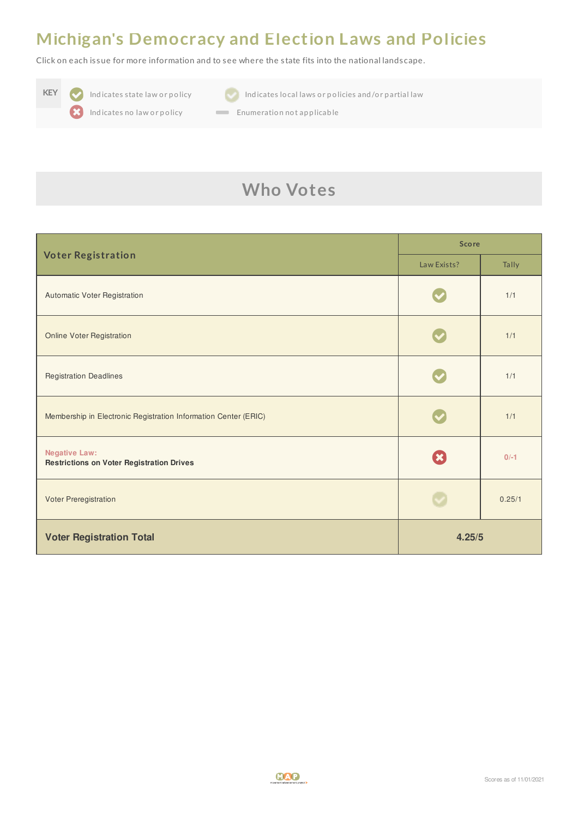#### **Michigan's Democracy and Election Laws and Policies**

Click on each is sue for more information and to see where the s tate fits into the national landscape.





**KEY Indicates state law or policy Indicates local laws or policies and/or partial law** 

Indicates no law or policy **Enumeration not applicable** 

### **Who Votes**

| <b>Voter Registration</b>                                                | <b>Score</b> |        |
|--------------------------------------------------------------------------|--------------|--------|
|                                                                          | Law Exists?  | Tally  |
| Automatic Voter Registration                                             |              | 1/1    |
| <b>Online Voter Registration</b>                                         |              | 1/1    |
| <b>Registration Deadlines</b>                                            |              | 1/1    |
| Membership in Electronic Registration Information Center (ERIC)          |              | 1/1    |
| <b>Negative Law:</b><br><b>Restrictions on Voter Registration Drives</b> | $\mathbf{x}$ | $0/-1$ |
| Voter Preregistration                                                    |              | 0.25/1 |
| <b>Voter Registration Total</b>                                          | 4.25/5       |        |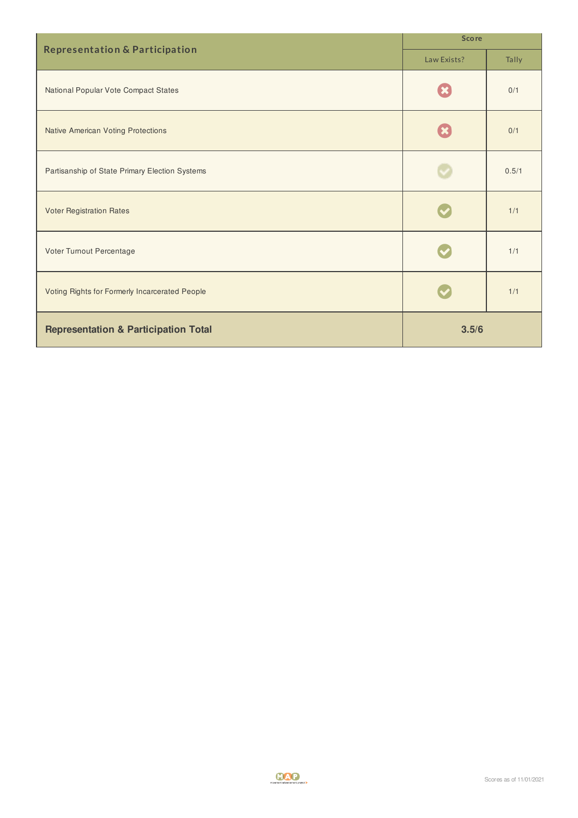| <b>Representation &amp; Participation</b>       | <b>Score</b> |       |
|-------------------------------------------------|--------------|-------|
|                                                 | Law Exists?  | Tally |
| National Popular Vote Compact States            |              | 0/1   |
| <b>Native American Voting Protections</b>       |              | 0/1   |
| Partisanship of State Primary Election Systems  |              | 0.5/1 |
| <b>Voter Registration Rates</b>                 |              | 1/1   |
| Voter Turnout Percentage                        |              | 1/1   |
| Voting Rights for Formerly Incarcerated People  |              | 1/1   |
| <b>Representation &amp; Participation Total</b> | 3.5/6        |       |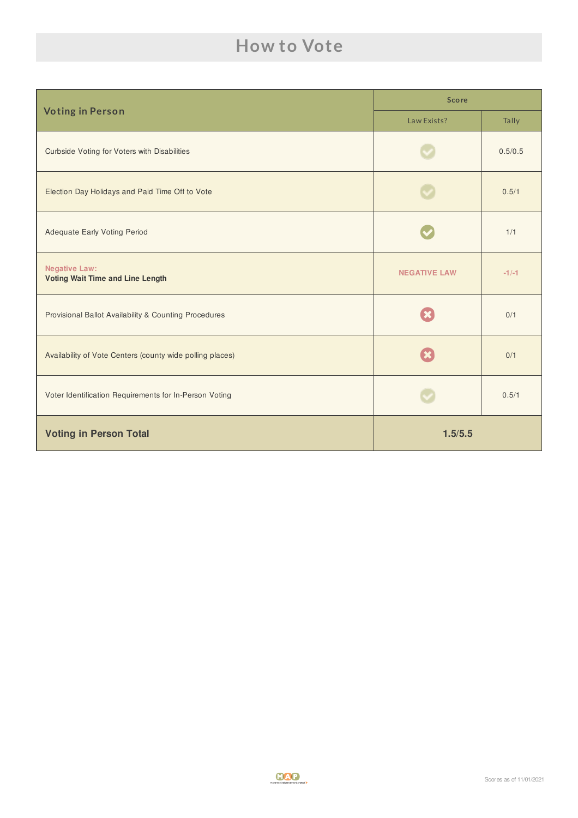#### **How to Vote**

| <b>Voting in Person</b>                                         | <b>Score</b>        |         |
|-----------------------------------------------------------------|---------------------|---------|
|                                                                 | Law Exists?         | Tally   |
| Curbside Voting for Voters with Disabilities                    |                     | 0.5/0.5 |
| Election Day Holidays and Paid Time Off to Vote                 |                     | 0.5/1   |
| <b>Adequate Early Voting Period</b>                             |                     | 1/1     |
| <b>Negative Law:</b><br><b>Voting Wait Time and Line Length</b> | <b>NEGATIVE LAW</b> | $-1/-1$ |
| Provisional Ballot Availability & Counting Procedures           |                     | 0/1     |
| Availability of Vote Centers (county wide polling places)       |                     | 0/1     |
| Voter Identification Requirements for In-Person Voting          |                     | 0.5/1   |
| <b>Voting in Person Total</b>                                   | 1.5/5.5             |         |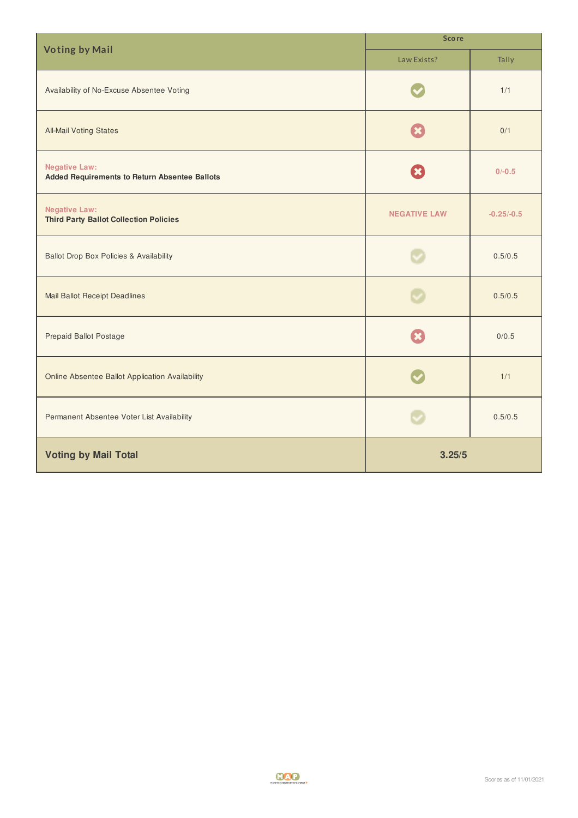| <b>Voting by Mail</b>                                                 | <b>Score</b>        |              |  |
|-----------------------------------------------------------------------|---------------------|--------------|--|
|                                                                       | Law Exists?         | Tally        |  |
| Availability of No-Excuse Absentee Voting                             |                     | 1/1          |  |
| <b>All-Mail Voting States</b>                                         |                     | 0/1          |  |
| <b>Negative Law:</b><br>Added Requirements to Return Absentee Ballots | $\mathbf x$         | $0/-0.5$     |  |
| <b>Negative Law:</b><br><b>Third Party Ballot Collection Policies</b> | <b>NEGATIVE LAW</b> | $-0.25/-0.5$ |  |
| <b>Ballot Drop Box Policies &amp; Availability</b>                    |                     | 0.5/0.5      |  |
| <b>Mail Ballot Receipt Deadlines</b>                                  |                     | 0.5/0.5      |  |
| Prepaid Ballot Postage                                                |                     | 0/0.5        |  |
| Online Absentee Ballot Application Availability                       |                     | 1/1          |  |
| Permanent Absentee Voter List Availability                            |                     | 0.5/0.5      |  |
| <b>Voting by Mail Total</b>                                           | 3.25/5              |              |  |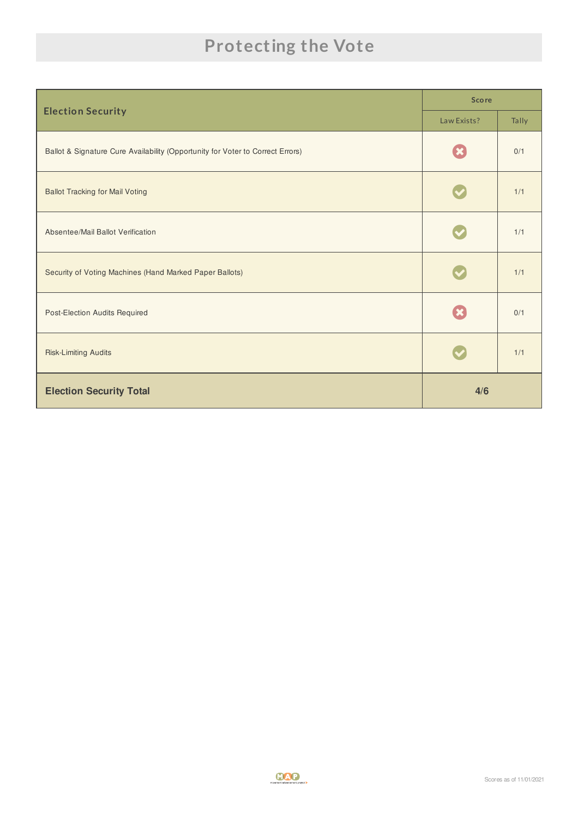## **Protecting the Vote**

|                                                                                | <b>Score</b> |       |
|--------------------------------------------------------------------------------|--------------|-------|
| <b>Election Security</b>                                                       | Law Exists?  | Tally |
| Ballot & Signature Cure Availability (Opportunity for Voter to Correct Errors) |              | 0/1   |
| <b>Ballot Tracking for Mail Voting</b>                                         |              | 1/1   |
| Absentee/Mail Ballot Verification                                              |              | 1/1   |
| Security of Voting Machines (Hand Marked Paper Ballots)                        |              | 1/1   |
| Post-Election Audits Required                                                  |              | 0/1   |
| <b>Risk-Limiting Audits</b>                                                    |              | 1/1   |
| <b>Election Security Total</b>                                                 | 4/6          |       |